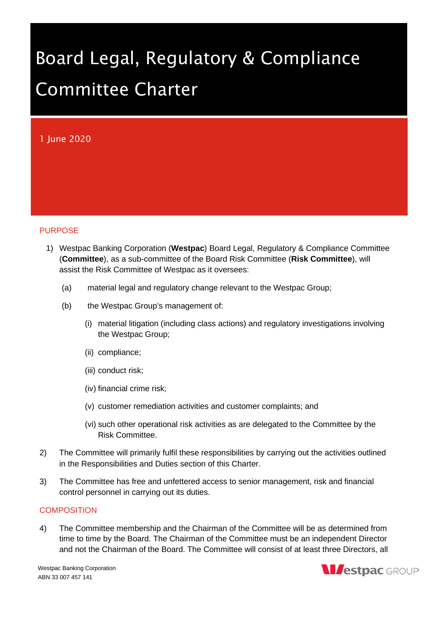# Board Legal, Regulatory & Compliance Committee Charter

## 1 June 2020

#### PURPOSE

- 1) Westpac Banking Corporation (**Westpac**) Board Legal, Regulatory & Compliance Committee (**Committee**), as a sub-committee of the Board Risk Committee (**Risk Committee**), will assist the Risk Committee of Westpac as it oversees:
	- (a) material legal and regulatory change relevant to the Westpac Group;
	- (b) the Westpac Group's management of:
		- (i) material litigation (including class actions) and regulatory investigations involving the Westpac Group;
		- (ii) compliance;
		- (iii) conduct risk;
		- (iv) financial crime risk;
		- (v) customer remediation activities and customer complaints; and
		- (vi) such other operational risk activities as are delegated to the Committee by the Risk Committee.
- 2) The Committee will primarily fulfil these responsibilities by carrying out the activities outlined in the Responsibilities and Duties section of this Charter.
- 3) The Committee has free and unfettered access to senior management, risk and financial control personnel in carrying out its duties.

#### **COMPOSITION**

4) The Committee membership and the Chairman of the Committee will be as determined from time to time by the Board. The Chairman of the Committee must be an independent Director and not the Chairman of the Board. The Committee will consist of at least three Directors, all

Westpac Banking Corporation ABN 33 007 457 141

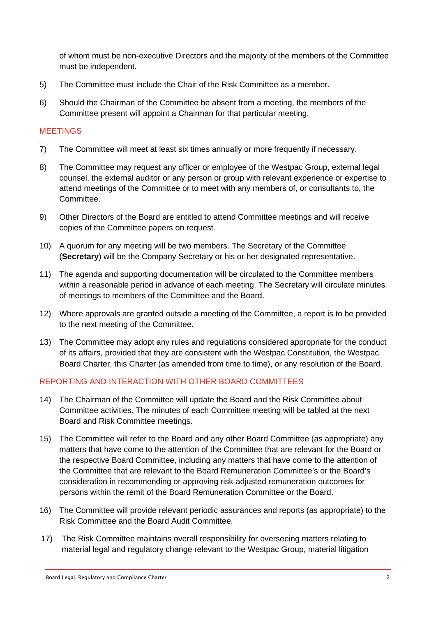of whom must be non-executive Directors and the majority of the members of the Committee must be independent.

- 5) The Committee must include the Chair of the Risk Committee as a member.
- 6) Should the Chairman of the Committee be absent from a meeting, the members of the Committee present will appoint a Chairman for that particular meeting.

#### MEETINGS

- 7) The Committee will meet at least six times annually or more frequently if necessary.
- 8) The Committee may request any officer or employee of the Westpac Group, external legal counsel, the external auditor or any person or group with relevant experience or expertise to attend meetings of the Committee or to meet with any members of, or consultants to, the Committee.
- 9) Other Directors of the Board are entitled to attend Committee meetings and will receive copies of the Committee papers on request.
- 10) A quorum for any meeting will be two members. The Secretary of the Committee (**Secretary**) will be the Company Secretary or his or her designated representative.
- 11) The agenda and supporting documentation will be circulated to the Committee members within a reasonable period in advance of each meeting. The Secretary will circulate minutes of meetings to members of the Committee and the Board.
- 12) Where approvals are granted outside a meeting of the Committee, a report is to be provided to the next meeting of the Committee.
- 13) The Committee may adopt any rules and regulations considered appropriate for the conduct of its affairs, provided that they are consistent with the Westpac Constitution, the Westpac Board Charter, this Charter (as amended from time to time), or any resolution of the Board.

## REPORTING AND INTERACTION WITH OTHER BOARD COMMITTEES

- 14) The Chairman of the Committee will update the Board and the Risk Committee about Committee activities. The minutes of each Committee meeting will be tabled at the next Board and Risk Committee meetings.
- 15) The Committee will refer to the Board and any other Board Committee (as appropriate) any matters that have come to the attention of the Committee that are relevant for the Board or the respective Board Committee, including any matters that have come to the attention of the Committee that are relevant to the Board Remuneration Committee's or the Board's consideration in recommending or approving risk-adjusted remuneration outcomes for persons within the remit of the Board Remuneration Committee or the Board.
- 16) The Committee will provide relevant periodic assurances and reports (as appropriate) to the Risk Committee and the Board Audit Committee.
- 17) The Risk Committee maintains overall responsibility for overseeing matters relating to material legal and regulatory change relevant to the Westpac Group, material litigation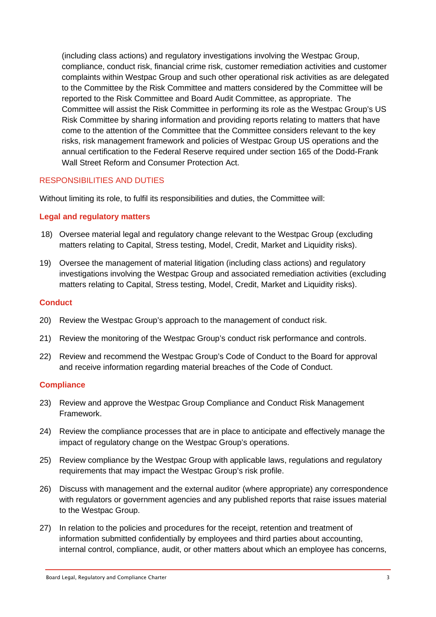(including class actions) and regulatory investigations involving the Westpac Group, compliance, conduct risk, financial crime risk, customer remediation activities and customer complaints within Westpac Group and such other operational risk activities as are delegated to the Committee by the Risk Committee and matters considered by the Committee will be reported to the Risk Committee and Board Audit Committee, as appropriate. The Committee will assist the Risk Committee in performing its role as the Westpac Group's US Risk Committee by sharing information and providing reports relating to matters that have come to the attention of the Committee that the Committee considers relevant to the key risks, risk management framework and policies of Westpac Group US operations and the annual certification to the Federal Reserve required under section 165 of the Dodd-Frank Wall Street Reform and Consumer Protection Act.

#### RESPONSIBILITIES AND DUTIES

Without limiting its role, to fulfil its responsibilities and duties, the Committee will:

#### **Legal and regulatory matters**

- 18) Oversee material legal and regulatory change relevant to the Westpac Group (excluding matters relating to Capital, Stress testing, Model, Credit, Market and Liquidity risks).
- 19) Oversee the management of material litigation (including class actions) and regulatory investigations involving the Westpac Group and associated remediation activities (excluding matters relating to Capital, Stress testing, Model, Credit, Market and Liquidity risks).

#### **Conduct**

- 20) Review the Westpac Group's approach to the management of conduct risk.
- 21) Review the monitoring of the Westpac Group's conduct risk performance and controls.
- 22) Review and recommend the Westpac Group's Code of Conduct to the Board for approval and receive information regarding material breaches of the Code of Conduct.

#### **Compliance**

- 23) Review and approve the Westpac Group Compliance and Conduct Risk Management Framework.
- 24) Review the compliance processes that are in place to anticipate and effectively manage the impact of regulatory change on the Westpac Group's operations.
- 25) Review compliance by the Westpac Group with applicable laws, regulations and regulatory requirements that may impact the Westpac Group's risk profile.
- 26) Discuss with management and the external auditor (where appropriate) any correspondence with regulators or government agencies and any published reports that raise issues material to the Westpac Group.
- 27) In relation to the policies and procedures for the receipt, retention and treatment of information submitted confidentially by employees and third parties about accounting, internal control, compliance, audit, or other matters about which an employee has concerns,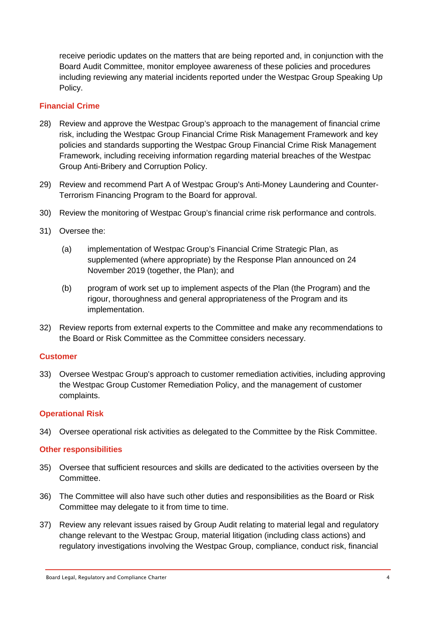receive periodic updates on the matters that are being reported and, in conjunction with the Board Audit Committee, monitor employee awareness of these policies and procedures including reviewing any material incidents reported under the Westpac Group Speaking Up Policy.

#### **Financial Crime**

- 28) Review and approve the Westpac Group's approach to the management of financial crime risk, including the Westpac Group Financial Crime Risk Management Framework and key policies and standards supporting the Westpac Group Financial Crime Risk Management Framework, including receiving information regarding material breaches of the Westpac Group Anti-Bribery and Corruption Policy.
- 29) Review and recommend Part A of Westpac Group's Anti-Money Laundering and Counter-Terrorism Financing Program to the Board for approval.
- 30) Review the monitoring of Westpac Group's financial crime risk performance and controls.
- 31) Oversee the:
	- (a) implementation of Westpac Group's Financial Crime Strategic Plan, as supplemented (where appropriate) by the Response Plan announced on 24 November 2019 (together, the Plan); and
	- (b) program of work set up to implement aspects of the Plan (the Program) and the rigour, thoroughness and general appropriateness of the Program and its implementation.
- 32) Review reports from external experts to the Committee and make any recommendations to the Board or Risk Committee as the Committee considers necessary.

#### **Customer**

33) Oversee Westpac Group's approach to customer remediation activities, including approving the Westpac Group Customer Remediation Policy, and the management of customer complaints.

## **Operational Risk**

34) Oversee operational risk activities as delegated to the Committee by the Risk Committee.

#### **Other responsibilities**

- 35) Oversee that sufficient resources and skills are dedicated to the activities overseen by the Committee.
- 36) The Committee will also have such other duties and responsibilities as the Board or Risk Committee may delegate to it from time to time.
- 37) Review any relevant issues raised by Group Audit relating to material legal and regulatory change relevant to the Westpac Group, material litigation (including class actions) and regulatory investigations involving the Westpac Group, compliance, conduct risk, financial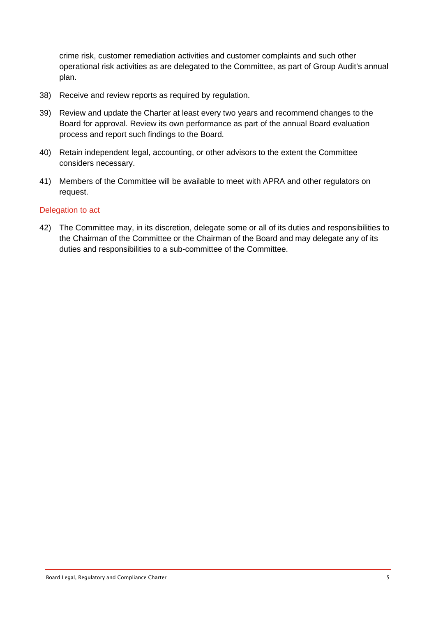crime risk, customer remediation activities and customer complaints and such other operational risk activities as are delegated to the Committee, as part of Group Audit's annual plan.

- 38) Receive and review reports as required by regulation.
- 39) Review and update the Charter at least every two years and recommend changes to the Board for approval. Review its own performance as part of the annual Board evaluation process and report such findings to the Board.
- 40) Retain independent legal, accounting, or other advisors to the extent the Committee considers necessary.
- 41) Members of the Committee will be available to meet with APRA and other regulators on request.

#### Delegation to act

42) The Committee may, in its discretion, delegate some or all of its duties and responsibilities to the Chairman of the Committee or the Chairman of the Board and may delegate any of its duties and responsibilities to a sub-committee of the Committee.